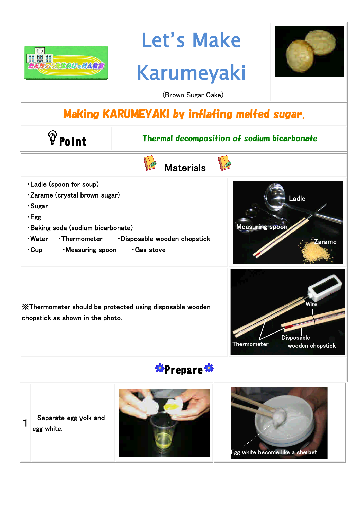| 開盟開 2000 att 200                                                                                                                                                                                                                                                                                                                                                                                                                                            | Let's Make<br><b>Karumeyaki</b>                    |  |  |
|-------------------------------------------------------------------------------------------------------------------------------------------------------------------------------------------------------------------------------------------------------------------------------------------------------------------------------------------------------------------------------------------------------------------------------------------------------------|----------------------------------------------------|--|--|
|                                                                                                                                                                                                                                                                                                                                                                                                                                                             | (Brown Sugar Cake)                                 |  |  |
| <b>Making KARUMEYAKI by inflating melted sugar.</b>                                                                                                                                                                                                                                                                                                                                                                                                         |                                                    |  |  |
| <b><i>Point</i></b>                                                                                                                                                                                                                                                                                                                                                                                                                                         | <b>Thermal decomposition of sodium bicarbonate</b> |  |  |
| <b>Materials</b>                                                                                                                                                                                                                                                                                                                                                                                                                                            |                                                    |  |  |
| • Ladle (spoon for soup)<br><b>-Zarame (crystal brown sugar)</b><br>Ladle<br>-Sugar<br>-Egg<br><b>Measuring spoor</b><br><b>·Baking soda (sodium bicarbonate)</b><br>-Water<br>•Thermometer<br><b>Disposable wooden chopstick</b><br>ırame<br><b>Measuring spoon</b><br>Gas stove<br>• Cup<br>Wire<br>X Thermometer should be protected using disposable wooden<br>chopstick as shown in the photo.<br><b>Disposable</b><br>Thermometer<br>wooden chopstick |                                                    |  |  |
| 蒂Prepare <b>茶</b>                                                                                                                                                                                                                                                                                                                                                                                                                                           |                                                    |  |  |
| Separate egg yolk and<br>1<br>egg white.                                                                                                                                                                                                                                                                                                                                                                                                                    |                                                    |  |  |

一番

Egg white bec ome like a sherbet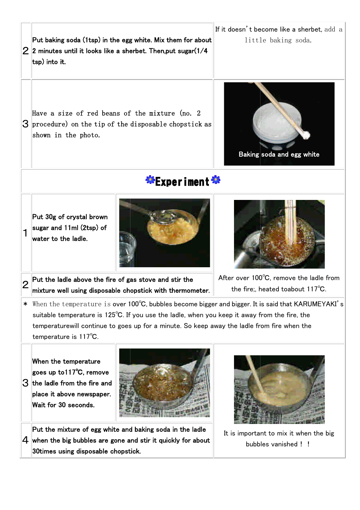$2\vert$ 2 minutes until it looks like a sherbet. Then,put sugar(1/4 Put baking soda (1tsp) in the egg white. Mix them for about tsp) into it.

If it doesn't become like a sherbet,  $\operatorname{add}\, \operatorname{a}\|$ little baking soda.

 $3$  procedure) on the tip of the disposable chopstick as Have a size of red beans of the mixture (no. 2 shown in the photo.

Put the ladle above the fire of gas stove and stir the

mixture well using disposable chopstick with thermometer.

## **\*Experiment\***

1 Put 30g of crystal brown sugar and 11ml (2tsp) of water to the ladle.

2





Baking soda and egg white

After over 100 $^{\circ}$ C, remove the ladle from the fire;, heated toabout 117 $^{\circ}$ C.

\* When the temperature is over 100℃, bubbles become bigger and bigger. It is said that KARUMEYAKI's suitable temperature is 125℃. If you use the ladle, when you keep it away from the fire, the temperaturewill continue to goes up for a minute. So keep away the ladle from fire when the temperature is 117℃.

 $3$  the ladle from the fire and When the temperature goes up to117℃, remove place it above newspaper. Wait for 30 seconds.



 $\boldsymbol{4}$  when the big bubbles are gone and stir it quickly for about Put the mixture of egg white and baking soda in the ladle 30times using disposable chopstick.



It is important to mix it when the big bubbles vanished !!